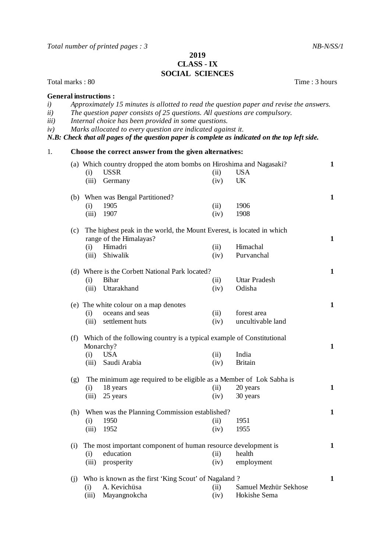*Total number of printed pages : 3* NB-N/SS/1

## **2019 CLASS** - **IX SOCIAL SCIENCES**

Total marks : 80 Time : 3 hours

| <b>General instructions:</b><br>i)<br>ii)<br><i>iii</i> )<br>iv) |                                                                                        |              | Approximately 15 minutes is allotted to read the question paper and revise the answers.<br>The question paper consists of 25 questions. All questions are compulsory.<br>Internal choice has been provided in some questions.<br>Marks allocated to every question are indicated against it.<br>N.B: Check that all pages of the question paper is complete as indicated on the top left side. |              |                                  |              |  |
|------------------------------------------------------------------|----------------------------------------------------------------------------------------|--------------|------------------------------------------------------------------------------------------------------------------------------------------------------------------------------------------------------------------------------------------------------------------------------------------------------------------------------------------------------------------------------------------------|--------------|----------------------------------|--------------|--|
| 1.                                                               |                                                                                        |              | Choose the correct answer from the given alternatives:                                                                                                                                                                                                                                                                                                                                         |              |                                  |              |  |
|                                                                  |                                                                                        | (i)<br>(iii) | (a) Which country dropped the atom bombs on Hiroshima and Nagasaki?<br><b>USSR</b><br>Germany                                                                                                                                                                                                                                                                                                  | (ii)<br>(iv) | <b>USA</b><br>UK                 | $\mathbf 1$  |  |
|                                                                  |                                                                                        |              | (b) When was Bengal Partitioned?                                                                                                                                                                                                                                                                                                                                                               |              |                                  | $\mathbf{1}$ |  |
|                                                                  |                                                                                        | (i)<br>(iii) | 1905<br>1907                                                                                                                                                                                                                                                                                                                                                                                   | (ii)<br>(iv) | 1906<br>1908                     |              |  |
|                                                                  | The highest peak in the world, the Mount Everest, is located in which<br>(c)           |              |                                                                                                                                                                                                                                                                                                                                                                                                |              |                                  |              |  |
|                                                                  |                                                                                        | (i)<br>(iii) | range of the Himalayas?<br>Himadri<br>Shiwalik                                                                                                                                                                                                                                                                                                                                                 | (ii)<br>(iv) | Himachal<br>Purvanchal           | $\mathbf{1}$ |  |
|                                                                  |                                                                                        | (i)          | (d) Where is the Corbett National Park located?<br>Bihar                                                                                                                                                                                                                                                                                                                                       | (ii)         | <b>Uttar Pradesh</b>             | $\mathbf{1}$ |  |
|                                                                  |                                                                                        | (iii)        | Uttarakhand                                                                                                                                                                                                                                                                                                                                                                                    | (iv)         | Odisha                           |              |  |
|                                                                  |                                                                                        |              | (e) The white colour on a map denotes                                                                                                                                                                                                                                                                                                                                                          |              |                                  | $\mathbf{1}$ |  |
|                                                                  |                                                                                        | (i)<br>(iii) | oceans and seas<br>settlement huts                                                                                                                                                                                                                                                                                                                                                             | (ii)<br>(iv) | forest area<br>uncultivable land |              |  |
|                                                                  | (f) Which of the following country is a typical example of Constitutional<br>Monarchy? |              |                                                                                                                                                                                                                                                                                                                                                                                                |              |                                  | $\mathbf{1}$ |  |
|                                                                  |                                                                                        | (i)          | <b>USA</b>                                                                                                                                                                                                                                                                                                                                                                                     | (ii)         | India                            |              |  |
|                                                                  |                                                                                        | (iii)        | Saudi Arabia                                                                                                                                                                                                                                                                                                                                                                                   | (iv)         | <b>Britain</b>                   |              |  |
|                                                                  | (g)                                                                                    |              | The minimum age required to be eligible as a Member of Lok Sabha is                                                                                                                                                                                                                                                                                                                            |              |                                  |              |  |
|                                                                  |                                                                                        | (i)          | 18 years                                                                                                                                                                                                                                                                                                                                                                                       | (ii)         | 20 years                         | $\mathbf{1}$ |  |
|                                                                  |                                                                                        | (iii)        | 25 years                                                                                                                                                                                                                                                                                                                                                                                       | (iv)         | 30 years                         |              |  |
|                                                                  | (h)                                                                                    |              | When was the Planning Commission established?                                                                                                                                                                                                                                                                                                                                                  |              |                                  | $\mathbf{1}$ |  |
|                                                                  |                                                                                        | (i)          | 1950                                                                                                                                                                                                                                                                                                                                                                                           | (ii)         | 1951                             |              |  |
|                                                                  |                                                                                        | (iii)        | 1952                                                                                                                                                                                                                                                                                                                                                                                           | (iv)         | 1955                             |              |  |
|                                                                  | (i)                                                                                    |              | The most important component of human resource development is                                                                                                                                                                                                                                                                                                                                  |              |                                  | 1            |  |
|                                                                  |                                                                                        | (i)          | education                                                                                                                                                                                                                                                                                                                                                                                      | (ii)         | health                           |              |  |
|                                                                  |                                                                                        | (iii)        | prosperity                                                                                                                                                                                                                                                                                                                                                                                     | (iv)         | employment                       |              |  |
|                                                                  | Who is known as the first 'King Scout' of Nagaland ?<br>(j)                            |              |                                                                                                                                                                                                                                                                                                                                                                                                |              |                                  |              |  |
|                                                                  |                                                                                        | (i)          | A. Kevichüsa                                                                                                                                                                                                                                                                                                                                                                                   | (ii)         | Samuel Mezhür Sekhose            |              |  |
|                                                                  |                                                                                        | (iii)        | Mayangnokcha                                                                                                                                                                                                                                                                                                                                                                                   | (iv)         | Hokishe Sema                     |              |  |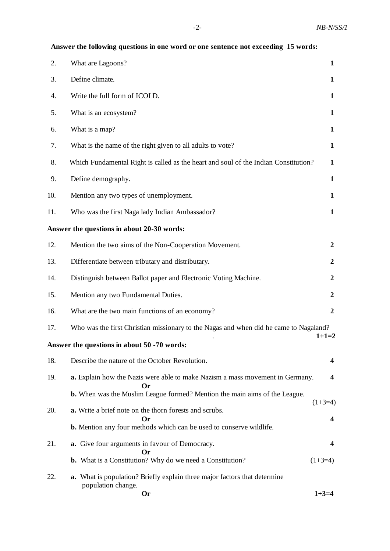|     | Allswer the following questions in one word or one sentence not exceeding 15 words:                          |                  |
|-----|--------------------------------------------------------------------------------------------------------------|------------------|
| 2.  | What are Lagoons?                                                                                            | $\mathbf{1}$     |
| 3.  | Define climate.                                                                                              | $\mathbf{1}$     |
| 4.  | Write the full form of ICOLD.                                                                                | $\mathbf{1}$     |
| 5.  | What is an ecosystem?                                                                                        | $\mathbf{1}$     |
| 6.  | What is a map?                                                                                               | $\mathbf{1}$     |
| 7.  | What is the name of the right given to all adults to vote?                                                   | $\mathbf{1}$     |
| 8.  | Which Fundamental Right is called as the heart and soul of the Indian Constitution?                          | $\mathbf{1}$     |
| 9.  | Define demography.                                                                                           | $\mathbf{1}$     |
| 10. | Mention any two types of unemployment.                                                                       | $\mathbf{1}$     |
| 11. | Who was the first Naga lady Indian Ambassador?                                                               | $\mathbf{1}$     |
|     | Answer the questions in about 20-30 words:                                                                   |                  |
| 12. | Mention the two aims of the Non-Cooperation Movement.                                                        | $\boldsymbol{2}$ |
| 13. | Differentiate between tributary and distributary.                                                            | $\boldsymbol{2}$ |
| 14. | Distinguish between Ballot paper and Electronic Voting Machine.                                              | $\boldsymbol{2}$ |
| 15. | Mention any two Fundamental Duties.                                                                          | $\boldsymbol{2}$ |
| 16. | What are the two main functions of an economy?                                                               | $\boldsymbol{2}$ |
| 17. | Who was the first Christian missionary to the Nagas and when did he came to Nagaland?                        | $1+1=2$          |
|     | Answer the questions in about 50 -70 words:                                                                  |                  |
| 18. | Describe the nature of the October Revolution.                                                               | 4                |
| 19. | a. Explain how the Nazis were able to make Nazism a mass movement in Germany.<br>Or)                         | 4                |
|     | <b>b.</b> When was the Muslim League formed? Mention the main aims of the League.                            | $(1+3=4)$        |
| 20. | a. Write a brief note on the thorn forests and scrubs.<br>Or                                                 | 4                |
|     | <b>b.</b> Mention any four methods which can be used to conserve wildlife.                                   |                  |
| 21. | a. Give four arguments in favour of Democracy.<br>Or                                                         | 4                |
|     | <b>b.</b> What is a Constitution? Why do we need a Constitution?                                             | $(1+3=4)$        |
| 22. | a. What is population? Briefly explain three major factors that determine<br>population change.<br><b>Or</b> | $1+3=4$          |

 **Answer the following questions in one word or one sentence not exceeding 15 words:**